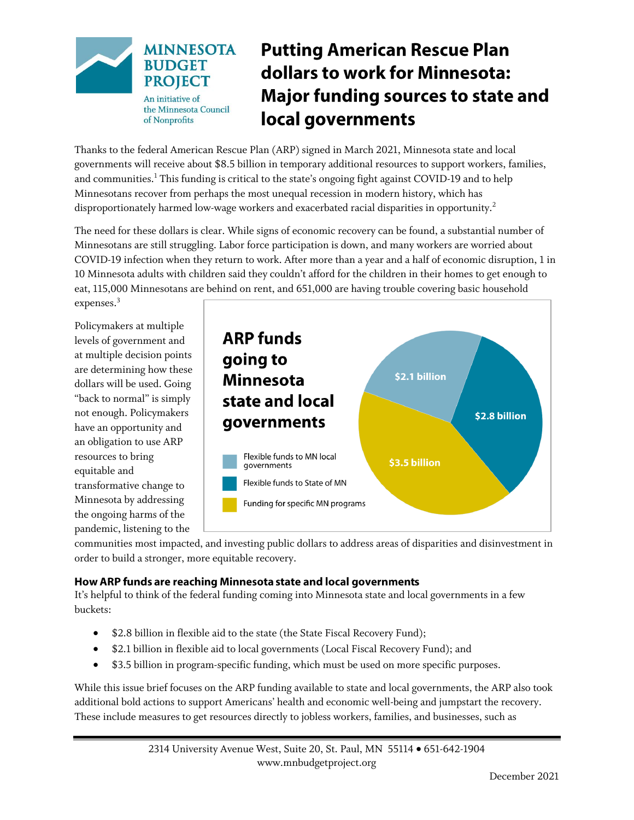

# **Putting American Rescue Plan** dollars to work for Minnesota: **Major funding sources to state and** local governments

Thanks to the federal American Rescue Plan (ARP) signed in March 2021, Minnesota state and local governments will receive about \$8.5 billion in temporary additional resources to support workers, families, and communities.<sup>1</sup> This funding is critical to the state's ongoing fight against COVID-19 and to help Minnesotans recover from perhaps the most unequal recession in modern history, which has disproportionately harmed low-wage workers and exacerbated racial disparities in opportunity.<sup>2</sup>

The need for these dollars is clear. While signs of economic recovery can be found, a substantial number of Minnesotans are still struggling. Labor force participation is down, and many workers are worried about COVID-19 infection when they return to work. After more than a year and a half of economic disruption, 1 in 10 Minnesota adults with children said they couldn't afford for the children in their homes to get enough to eat, 115,000 Minnesotans are behind on rent, and 651,000 are having trouble covering basic household expenses.<sup>3</sup>

Policymakers at multiple levels of government and at multiple decision points are determining how these dollars will be used. Going "back to normal" is simply not enough. Policymakers have an opportunity and an obligation to use ARP resources to bring equitable and transformative change to Minnesota by addressing the ongoing harms of the pandemic, listening to the



communities most impacted, and investing public dollars to address areas of disparities and disinvestment in order to build a stronger, more equitable recovery.

## How ARP funds are reaching Minnesota state and local governments

It's helpful to think of the federal funding coming into Minnesota state and local governments in a few buckets:

- \$2.8 billion in flexible aid to the state (the State Fiscal Recovery Fund);
- \$2.1 billion in flexible aid to local governments (Local Fiscal Recovery Fund); and
- \$3.5 billion in program-specific funding, which must be used on more specific purposes.

While this issue brief focuses on the ARP funding available to state and local governments, the ARP also took additional bold actions to support Americans' health and economic well-being and jumpstart the recovery. These include measures to get resources directly to jobless workers, families, and businesses, such as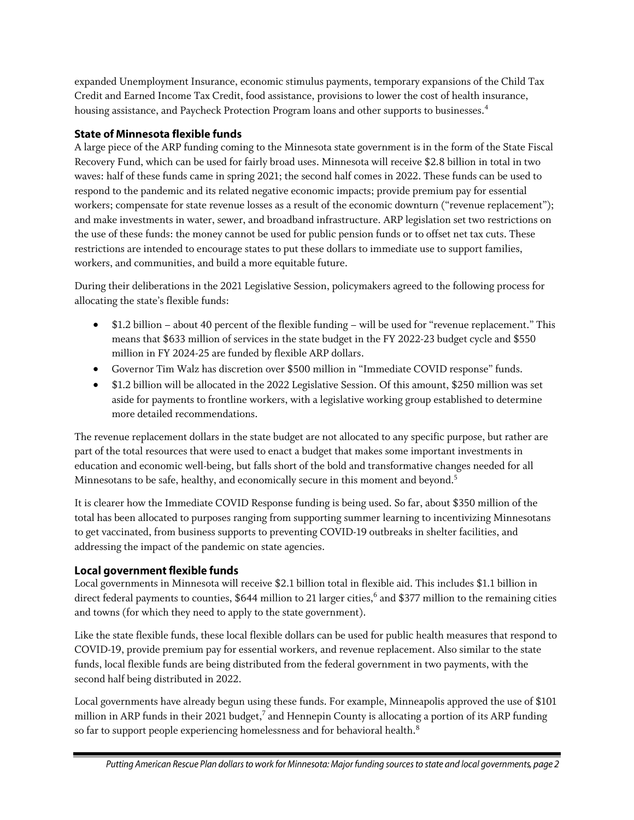expanded Unemployment Insurance, economic stimulus payments, temporary expansions of the Child Tax Credit and Earned Income Tax Credit, food assistance, provisions to lower the cost of health insurance, housing assistance, and Paycheck Protection Program loans and other supports to businesses.<sup>4</sup>

## **State of Minnesota flexible funds**

A large piece of the ARP funding coming to the Minnesota state government is in the form of the State Fiscal Recovery Fund, which can be used for fairly broad uses. Minnesota will receive \$2.8 billion in total in two waves: half of these funds came in spring 2021; the second half comes in 2022. These funds can be used to respond to the pandemic and its related negative economic impacts; provide premium pay for essential workers; compensate for state revenue losses as a result of the economic downturn ("revenue replacement"); and make investments in water, sewer, and broadband infrastructure. ARP legislation set two restrictions on the use of these funds: the money cannot be used for public pension funds or to offset net tax cuts. These restrictions are intended to encourage states to put these dollars to immediate use to support families, workers, and communities, and build a more equitable future.

During their deliberations in the 2021 Legislative Session, policymakers agreed to the following process for allocating the state's flexible funds:

- \$1.2 billion about 40 percent of the flexible funding will be used for "revenue replacement." This means that \$633 million of services in the state budget in the FY 2022-23 budget cycle and \$550 million in FY 2024-25 are funded by flexible ARP dollars.
- Governor Tim Walz has discretion over \$500 million in "Immediate COVID response" funds.
- \$1.2 billion will be allocated in the 2022 Legislative Session. Of this amount, \$250 million was set aside for payments to frontline workers, with a legislative working group established to determine more detailed recommendations.

The revenue replacement dollars in the state budget are not allocated to any specific purpose, but rather are part of the total resources that were used to enact a budget that makes some important investments in education and economic well-being, but falls short of the bold and transformative changes needed for all Minnesotans to be safe, healthy, and economically secure in this moment and beyond. $^5$ 

It is clearer how the Immediate COVID Response funding is being used. So far, about \$350 million of the total has been allocated to purposes ranging from supporting summer learning to incentivizing Minnesotans to get vaccinated, from business supports to preventing COVID-19 outbreaks in shelter facilities, and addressing the impact of the pandemic on state agencies.

# Local government flexible funds

Local governments in Minnesota will receive \$2.1 billion total in flexible aid. This includes \$1.1 billion in direct federal payments to counties, \$644 million to 21 larger cities, 6 and \$377 million to the remaining cities and towns (for which they need to apply to the state government).

Like the state flexible funds, these local flexible dollars can be used for public health measures that respond to COVID-19, provide premium pay for essential workers, and revenue replacement. Also similar to the state funds, local flexible funds are being distributed from the federal government in two payments, with the second half being distributed in 2022.

Local governments have already begun using these funds. For example, Minneapolis approved the use of \$101 million in ARP funds in their 2021 budget, 7 and Hennepin County is allocating a portion of its ARP funding so far to support people experiencing homelessness and for behavioral health.<sup>8</sup>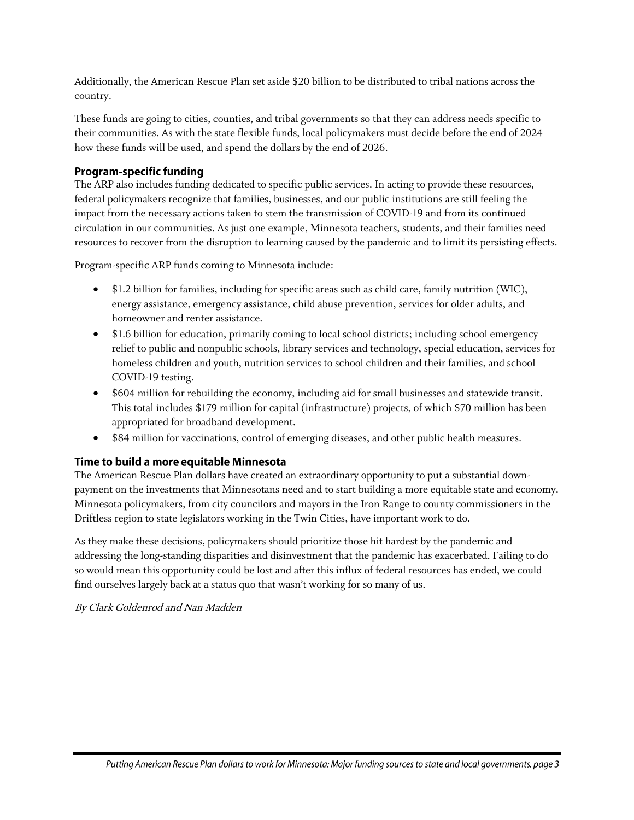Additionally, the American Rescue Plan set aside \$20 billion to be distributed to tribal nations across the country.

These funds are going to cities, counties, and tribal governments so that they can address needs specific to their communities. As with the state flexible funds, local policymakers must decide before the end of 2024 how these funds will be used, and spend the dollars by the end of 2026.

## **Program-specific funding**

The ARP also includes funding dedicated to specific public services. In acting to provide these resources, federal policymakers recognize that families, businesses, and our public institutions are still feeling the impact from the necessary actions taken to stem the transmission of COVID-19 and from its continued circulation in our communities. As just one example, Minnesota teachers, students, and their families need resources to recover from the disruption to learning caused by the pandemic and to limit its persisting effects.

Program-specific ARP funds coming to Minnesota include:

- \$1.2 billion for families, including for specific areas such as child care, family nutrition (WIC), energy assistance, emergency assistance, child abuse prevention, services for older adults, and homeowner and renter assistance.
- \$1.6 billion for education, primarily coming to local school districts; including school emergency relief to public and nonpublic schools, library services and technology, special education, services for homeless children and youth, nutrition services to school children and their families, and school COVID-19 testing.
- \$604 million for rebuilding the economy, including aid for small businesses and statewide transit. This total includes \$179 million for capital (infrastructure) projects, of which \$70 million has been appropriated for broadband development.
- \$84 million for vaccinations, control of emerging diseases, and other public health measures.

### Time to build a more equitable Minnesota

The American Rescue Plan dollars have created an extraordinary opportunity to put a substantial downpayment on the investments that Minnesotans need and to start building a more equitable state and economy. Minnesota policymakers, from city councilors and mayors in the Iron Range to county commissioners in the Driftless region to state legislators working in the Twin Cities, have important work to do.

As they make these decisions, policymakers should prioritize those hit hardest by the pandemic and addressing the long-standing disparities and disinvestment that the pandemic has exacerbated. Failing to do so would mean this opportunity could be lost and after this influx of federal resources has ended, we could find ourselves largely back at a status quo that wasn't working for so many of us.

### By Clark Goldenrod and Nan Madden